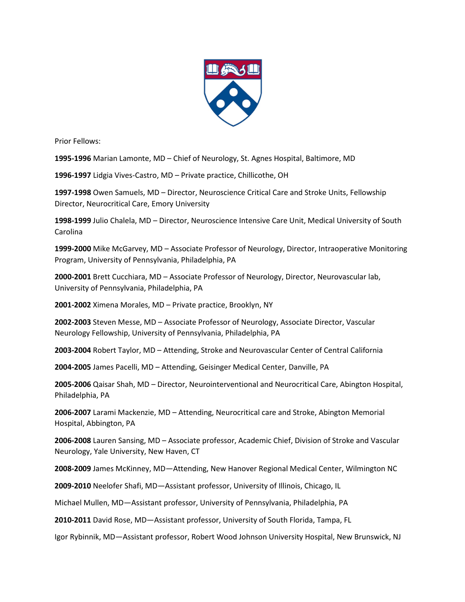

Prior Fellows:

**1995-1996** Marian Lamonte, MD – Chief of Neurology, St. Agnes Hospital, Baltimore, MD

**1996-1997** Lidgia Vives-Castro, MD – Private practice, Chillicothe, OH

**1997-1998** Owen Samuels, MD – Director, Neuroscience Critical Care and Stroke Units, Fellowship Director, Neurocritical Care, Emory University

**1998-1999** Julio Chalela, MD – Director, Neuroscience Intensive Care Unit, Medical University of South Carolina

**1999-2000** Mike McGarvey, MD – Associate Professor of Neurology, Director, Intraoperative Monitoring Program, University of Pennsylvania, Philadelphia, PA

**2000-2001** Brett Cucchiara, MD – Associate Professor of Neurology, Director, Neurovascular lab, University of Pennsylvania, Philadelphia, PA

**2001-2002** Ximena Morales, MD – Private practice, Brooklyn, NY

**2002-2003** Steven Messe, MD – Associate Professor of Neurology, Associate Director, Vascular Neurology Fellowship, University of Pennsylvania, Philadelphia, PA

**2003-2004** Robert Taylor, MD – Attending, Stroke and Neurovascular Center of Central California

**2004-2005** James Pacelli, MD – Attending, Geisinger Medical Center, Danville, PA

**2005-2006** Qaisar Shah, MD – Director, Neurointerventional and Neurocritical Care, Abington Hospital, Philadelphia, PA

**2006-2007** Larami Mackenzie, MD – Attending, Neurocritical care and Stroke, Abington Memorial Hospital, Abbington, PA

**2006-2008** Lauren Sansing, MD – Associate professor, Academic Chief, Division of Stroke and Vascular Neurology, Yale University, New Haven, CT

**2008-2009** James McKinney, MD—Attending, New Hanover Regional Medical Center, Wilmington NC

**2009-2010** Neelofer Shafi, MD—Assistant professor, University of Illinois, Chicago, IL

Michael Mullen, MD—Assistant professor, University of Pennsylvania, Philadelphia, PA

**2010-2011** David Rose, MD—Assistant professor, University of South Florida, Tampa, FL

Igor Rybinnik, MD—Assistant professor, Robert Wood Johnson University Hospital, New Brunswick, NJ